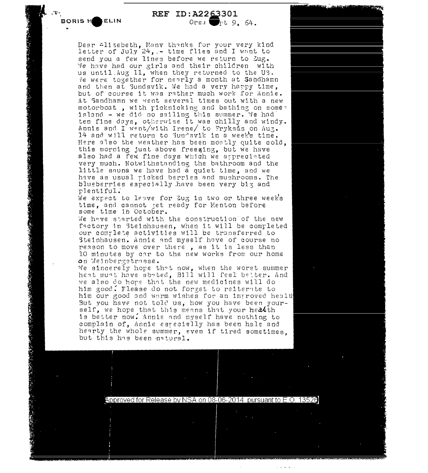**'"'"'i'-T •BORIS HeELIN** 

A STATE AND CHARGE TRANSPORT

**REF** ID:A22~301 Orsa  $\blacksquare$ pt 9. 64.

Dear Alizebeth, Many thanks for your very kind letter of  $July$   $24$ ,  $-$  time flies and I want to send you a few lines before we return to Zug. We have had our girls and their children with us until.Aug 11, when they returned to the US. *ie were together for nearly a month at Sahdhamn* and then at Sundsvik. We had a very harry time, but of course it was rather much work for Annie. At Sandhamn we went several times out with a new motorboat, with ricknicking and bathing on some nosorsome , when predired in the secondary on semiten fine days, otherwise it was chilly and windy. Annie and I went/with Irene/ to Tryksas on au3. 14 and will return to 3undavik in a week's time. Here also the weather has been moetly quite cold, this morning just above freezing, but we have also had a few fine days wbjch we arprecinted very much. Notwithstanding the bathroom and the little sauna we have had a quiet time, and we hgve as usual ricked berries 8nd mushrooms. The blueberries especially have been very big and p1entiful."

We expect to leave for Zug in two or three week's time, and cannot ret ready for Menton before some time ih October.

We have started with the construction of the new factory in Steinhausen, when it will be completed our comrlete activities will be transferred to Steinhausen. Annie and myself have of course no reason to move over there , as it is less than 10 minutes by car to the new works from our home on Weinbergstrasse.

We sincerely hope that now, when the worst summer heat muat have abated, Bill will feel better. And we also do hope that the new medicines will do him good. Flease do not forget to reiternte to him our good and warm wishes for an improved healt But you have not told us, how you have been yourself, we hope that this means that your heatth is better now. Annie and myself have nothing to complain of, Annie esrecislly has been hale and hearty the whole summer, even if tired sometimes. but this has been natural.

I

- •

- ,., .. . . . '. ' **t ... .,,!\$1:** \_.

Approved for Release by NSA on 08-06-2014 pursuant to E.O. 13520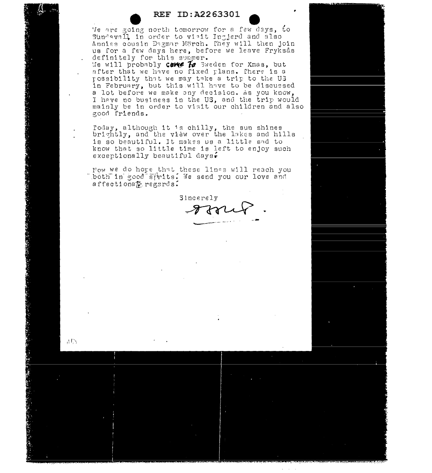## REF ID:A2263301

Me are going north tomorrow for a few days, to Sundavall in order to viait Ingjerd and also Annias cousin Dagmar Mörch. They will then join us for a few days here, before we leave Fryksås definitely for this summer.

We will probably Care To Sweden for Xmas, but after that we have no fixed plans. There is a possibility that we may take a trip to the U3 in February, but this will have to be discussed a lot before we make any decision. As you know, I have no business in the US, and the trip would mainly be in order to visit our children and also good friends.

Today, although it is chilly, the sun shines brightly, and the view over the lakes and hills is so beautiful. It makes us a little sad to know that so little time is left to enjoy such exceptionally beautiful days.

Now we do hore that these lines will reach you both in good strits. We send you our love and affectiona $E$  regards.

 $AB$ 

**Sincerely**  $2732$